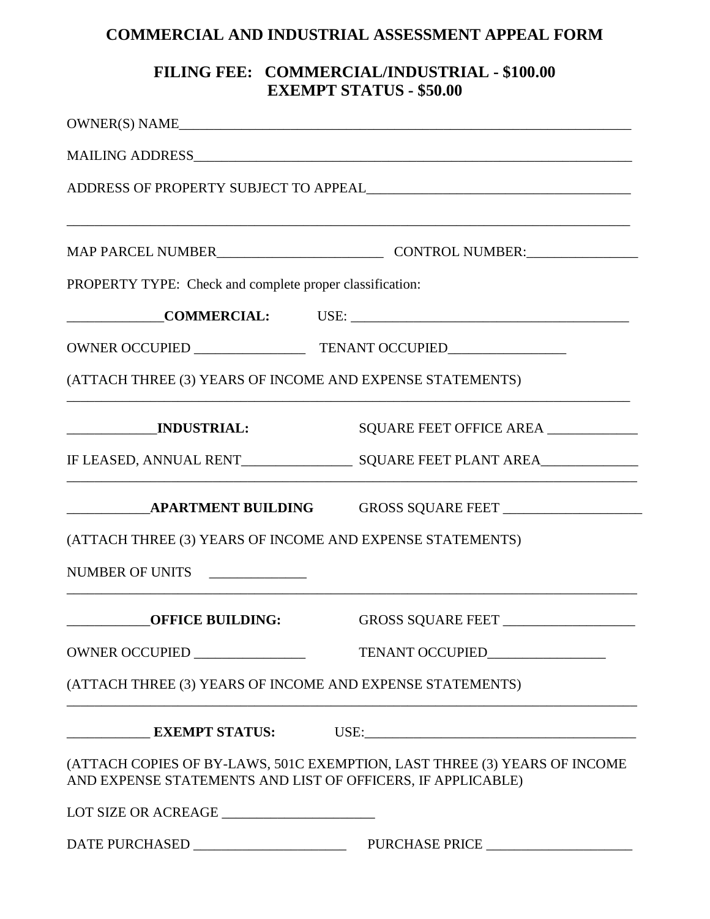## **COMMERCIAL AND INDUSTRIAL ASSESSMENT APPEAL FORM**

## **FILING FEE: COMMERCIAL/INDUSTRIAL - \$100.00 EXEMPT STATUS - \$50.00**

|                                                             | OWNER(S) NAME                                                             |  |
|-------------------------------------------------------------|---------------------------------------------------------------------------|--|
|                                                             |                                                                           |  |
|                                                             |                                                                           |  |
|                                                             |                                                                           |  |
| PROPERTY TYPE: Check and complete proper classification:    |                                                                           |  |
|                                                             |                                                                           |  |
|                                                             |                                                                           |  |
| (ATTACH THREE (3) YEARS OF INCOME AND EXPENSE STATEMENTS)   |                                                                           |  |
| ___________________INDUSTRIAL:                              | SQUARE FEET OFFICE AREA                                                   |  |
|                                                             |                                                                           |  |
|                                                             |                                                                           |  |
| (ATTACH THREE (3) YEARS OF INCOME AND EXPENSE STATEMENTS)   |                                                                           |  |
| NUMBER OF UNITS                                             |                                                                           |  |
| <b>OFFICE BUILDING:</b>                                     | GROSS SQUARE FEET _____________________                                   |  |
|                                                             |                                                                           |  |
| (ATTACH THREE (3) YEARS OF INCOME AND EXPENSE STATEMENTS)   |                                                                           |  |
|                                                             |                                                                           |  |
| AND EXPENSE STATEMENTS AND LIST OF OFFICERS, IF APPLICABLE) | (ATTACH COPIES OF BY-LAWS, 501C EXEMPTION, LAST THREE (3) YEARS OF INCOME |  |
|                                                             |                                                                           |  |
|                                                             |                                                                           |  |